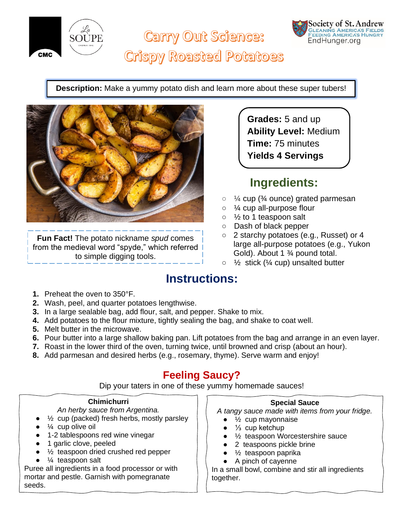

**Carry Out Science:** 



# **Crispy Roasted Potatoes**

**Description:** Make a yummy potato dish and learn more about these super tubers!



**Fun Fact!** The potato nickname *spud* comes from the medieval word "spyde," which referred to simple digging tools.

**Grades:** 5 and up **Ability Level:** Medium **Time:** 75 minutes **Yields 4 Servings**

### **Ingredients:**

- $\circ$   $\frac{1}{4}$  cup ( $\frac{3}{4}$  ounce) grated parmesan
- $\circ$  % cup all-purpose flour
- $\circ$   $\frac{1}{2}$  to 1 teaspoon salt
- Dash of black pepper
- 2 starchy potatoes (e.g., Russet) or 4 large all-purpose potatoes (e.g., Yukon Gold). About 1 ¾ pound total.
- $\circ$   $\frac{1}{2}$  stick ( $\frac{1}{4}$  cup) unsalted butter

### **Instructions:**

- **1.** Preheat the oven to 350°F.
- **2.** Wash, peel, and quarter potatoes lengthwise.
- **3.** In a large sealable bag, add flour, salt, and pepper. Shake to mix.
- **4.** Add potatoes to the flour mixture, tightly sealing the bag, and shake to coat well.
- **5.** Melt butter in the microwave.
- **6.** Pour butter into a large shallow baking pan. Lift potatoes from the bag and arrange in an even layer.
- **7.** Roast in the lower third of the oven, turning twice, until browned and crisp (about an hour).
- **8.** Add parmesan and desired herbs (e.g., rosemary, thyme). Serve warm and enjoy!

### **Feeling Saucy?**

Dip your taters in one of these yummy homemade sauces!

#### **Chimichurri**

*An herby sauce from Argentina.*

- $\frac{1}{2}$  cup (packed) fresh herbs, mostly parsley
- $\frac{1}{4}$  cup olive oil
- 1-2 tablespoons red wine vinegar
- 1 garlic clove, peeled
- $\frac{1}{2}$  teaspoon dried crushed red pepper
- $\frac{1}{4}$  teaspoon salt

Puree all ingredients in a food processor or with mortar and pestle. Garnish with pomegranate seeds.

#### **Special Sauce**

*A tangy sauce made with items from your fridge.*

- $\frac{1}{2}$  cup mayonnaise
- $\frac{1}{3}$  cup ketchup
- ½ teaspoon Worcestershire sauce
- 2 teaspoons pickle brine
- $\frac{1}{2}$  teaspoon paprika
- A pinch of cayenne

In a small bowl, combine and stir all ingredients together.